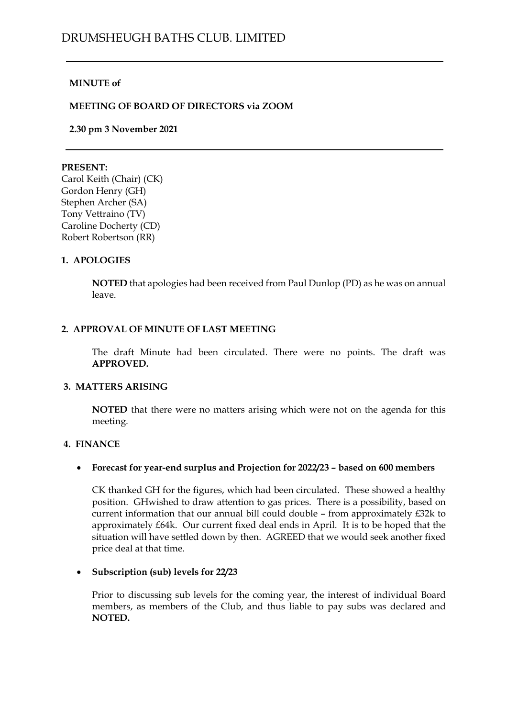# **MINUTE of**

# **MEETING OF BOARD OF DIRECTORS via ZOOM**

**2.30 pm 3 November 2021**

#### **PRESENT:**

Carol Keith (Chair) (CK) Gordon Henry (GH) Stephen Archer (SA) Tony Vettraino (TV) Caroline Docherty (CD) Robert Robertson (RR)

# **1. APOLOGIES**

**NOTED** that apologies had been received from Paul Dunlop (PD) as he was on annual leave.

# **2. APPROVAL OF MINUTE OF LAST MEETING**

The draft Minute had been circulated. There were no points. The draft was **APPROVED.**

### **3. MATTERS ARISING**

**NOTED** that there were no matters arising which were not on the agenda for this meeting.

# **4. FINANCE**

### • **Forecast for year-end surplus and Projection for 2022/23 – based on 600 members**

CK thanked GH for the figures, which had been circulated. These showed a healthy position. GHwished to draw attention to gas prices. There is a possibility, based on current information that our annual bill could double – from approximately £32k to approximately £64k. Our current fixed deal ends in April. It is to be hoped that the situation will have settled down by then. AGREED that we would seek another fixed price deal at that time.

### • **Subscription (sub) levels for 22/23**

Prior to discussing sub levels for the coming year, the interest of individual Board members, as members of the Club, and thus liable to pay subs was declared and **NOTED.**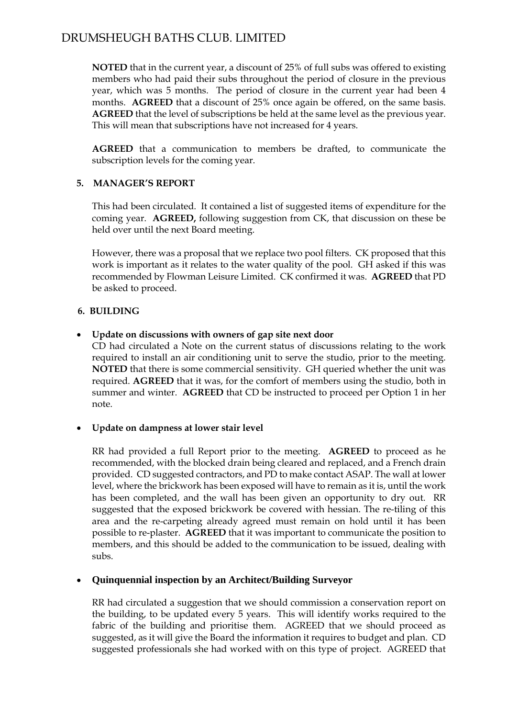# DRUMSHEUGH BATHS CLUB. LIMITED

**NOTED** that in the current year, a discount of 25% of full subs was offered to existing members who had paid their subs throughout the period of closure in the previous year, which was 5 months. The period of closure in the current year had been 4 months. **AGREED** that a discount of 25% once again be offered, on the same basis. **AGREED** that the level of subscriptions be held at the same level as the previous year. This will mean that subscriptions have not increased for 4 years.

**AGREED** that a communication to members be drafted, to communicate the subscription levels for the coming year.

# **5. MANAGER'S REPORT**

This had been circulated. It contained a list of suggested items of expenditure for the coming year. **AGREED,** following suggestion from CK, that discussion on these be held over until the next Board meeting.

However, there was a proposal that we replace two pool filters. CK proposed that this work is important as it relates to the water quality of the pool. GH asked if this was recommended by Flowman Leisure Limited. CK confirmed it was. **AGREED** that PD be asked to proceed.

# **6. BUILDING**

# • **Update on discussions with owners of gap site next door**

CD had circulated a Note on the current status of discussions relating to the work required to install an air conditioning unit to serve the studio, prior to the meeting. **NOTED** that there is some commercial sensitivity. GH queried whether the unit was required. **AGREED** that it was, for the comfort of members using the studio, both in summer and winter. **AGREED** that CD be instructed to proceed per Option 1 in her note.

### • **Update on dampness at lower stair level**

RR had provided a full Report prior to the meeting. **AGREED** to proceed as he recommended, with the blocked drain being cleared and replaced, and a French drain provided. CD suggested contractors, and PD to make contact ASAP. The wall at lower level, where the brickwork has been exposed will have to remain as it is, until the work has been completed, and the wall has been given an opportunity to dry out. RR suggested that the exposed brickwork be covered with hessian. The re-tiling of this area and the re-carpeting already agreed must remain on hold until it has been possible to re-plaster. **AGREED** that it was important to communicate the position to members, and this should be added to the communication to be issued, dealing with subs.

### • **Quinquennial inspection by an Architect/Building Surveyor**

RR had circulated a suggestion that we should commission a conservation report on the building, to be updated every 5 years. This will identify works required to the fabric of the building and prioritise them. AGREED that we should proceed as suggested, as it will give the Board the information it requires to budget and plan. CD suggested professionals she had worked with on this type of project. AGREED that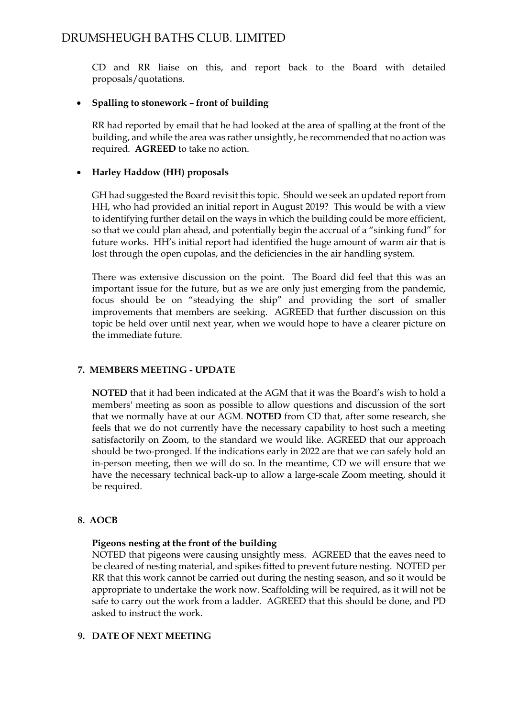CD and RR liaise on this, and report back to the Board with detailed proposals/quotations.

# • **Spalling to stonework – front of building**

RR had reported by email that he had looked at the area of spalling at the front of the building, and while the area was rather unsightly, he recommended that no action was required. **AGREED** to take no action.

# • **Harley Haddow (HH) proposals**

GH had suggested the Board revisit this topic. Should we seek an updated report from HH, who had provided an initial report in August 2019? This would be with a view to identifying further detail on the ways in which the building could be more efficient, so that we could plan ahead, and potentially begin the accrual of a "sinking fund" for future works. HH's initial report had identified the huge amount of warm air that is lost through the open cupolas, and the deficiencies in the air handling system.

There was extensive discussion on the point. The Board did feel that this was an important issue for the future, but as we are only just emerging from the pandemic, focus should be on "steadying the ship" and providing the sort of smaller improvements that members are seeking. AGREED that further discussion on this topic be held over until next year, when we would hope to have a clearer picture on the immediate future.

# **7. MEMBERS MEETING - UPDATE**

**NOTED** that it had been indicated at the AGM that it was the Board's wish to hold a members' meeting as soon as possible to allow questions and discussion of the sort that we normally have at our AGM. **NOTED** from CD that, after some research, she feels that we do not currently have the necessary capability to host such a meeting satisfactorily on Zoom, to the standard we would like. AGREED that our approach should be two-pronged. If the indications early in 2022 are that we can safely hold an in-person meeting, then we will do so. In the meantime, CD we will ensure that we have the necessary technical back-up to allow a large-scale Zoom meeting, should it be required.

# **8. AOCB**

# **Pigeons nesting at the front of the building**

NOTED that pigeons were causing unsightly mess. AGREED that the eaves need to be cleared of nesting material, and spikes fitted to prevent future nesting. NOTED per RR that this work cannot be carried out during the nesting season, and so it would be appropriate to undertake the work now. Scaffolding will be required, as it will not be safe to carry out the work from a ladder. AGREED that this should be done, and PD asked to instruct the work.

# **9. DATE OF NEXT MEETING**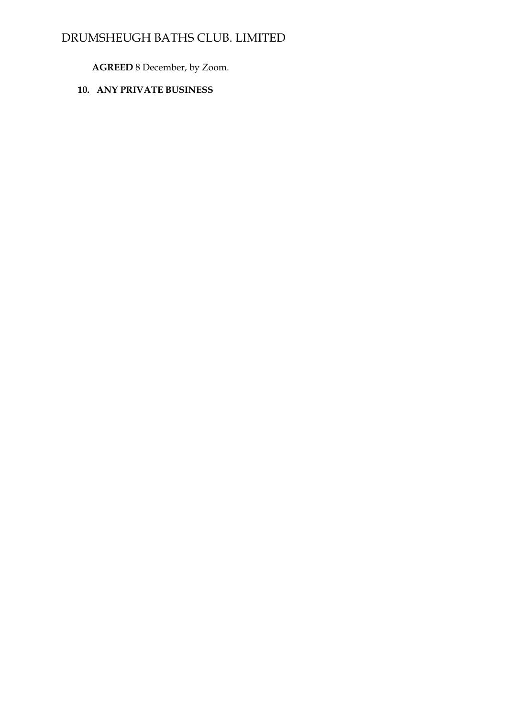# DRUMSHEUGH BATHS CLUB. LIMITED

**AGREED** 8 December, by Zoom.

# **10. ANY PRIVATE BUSINESS**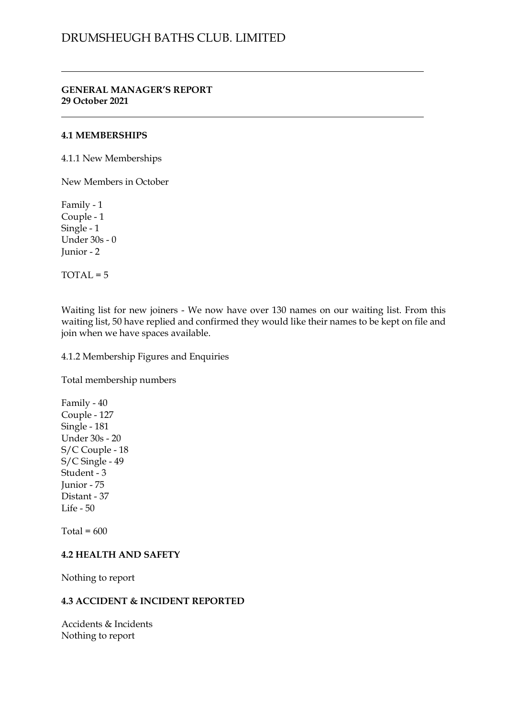**GENERAL MANAGER'S REPORT 29 October 2021**

### **4.1 MEMBERSHIPS**

4.1.1 New Memberships

New Members in October

Family - 1 Couple - 1 Single - 1 Under 30s - 0 Junior - 2

 $TOTAL = 5$ 

Waiting list for new joiners - We now have over 130 names on our waiting list. From this waiting list, 50 have replied and confirmed they would like their names to be kept on file and join when we have spaces available.

4.1.2 Membership Figures and Enquiries

Total membership numbers

Family - 40 Couple - 127 Single - 181 Under 30s - 20 S/C Couple - 18 S/C Single - 49 Student - 3 Junior - 75 Distant - 37 Life - 50

Total =  $600$ 

### **4.2 HEALTH AND SAFETY**

Nothing to report

### **4.3 ACCIDENT & INCIDENT REPORTED**

Accidents & Incidents Nothing to report